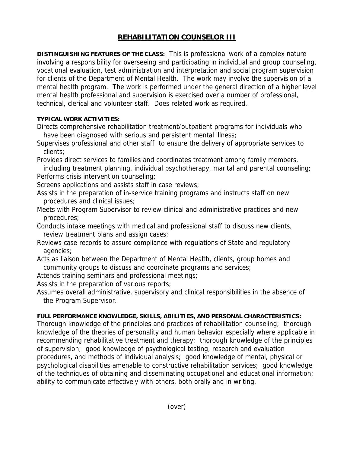## **REHABILITATION COUNSELOR III**

**DISTINGUISHING FEATURES OF THE CLASS:** This is professional work of a complex nature involving a responsibility for overseeing and participating in individual and group counseling, vocational evaluation, test administration and interpretation and social program supervision for clients of the Department of Mental Health. The work may involve the supervision of a mental health program. The work is performed under the general direction of a higher level mental health professional and supervision is exercised over a number of professional, technical, clerical and volunteer staff. Does related work as required.

## **TYPICAL WORK ACTIVITIES:**

Directs comprehensive rehabilitation treatment/outpatient programs for individuals who have been diagnosed with serious and persistent mental illness;

Supervises professional and other staff to ensure the delivery of appropriate services to clients;

Provides direct services to families and coordinates treatment among family members, including treatment planning, individual psychotherapy, marital and parental counseling; Performs crisis intervention counseling;

Screens applications and assists staff in case reviews;

Assists in the preparation of in-service training programs and instructs staff on new procedures and clinical issues;

Meets with Program Supervisor to review clinical and administrative practices and new procedures;

Conducts intake meetings with medical and professional staff to discuss new clients, review treatment plans and assign cases;

Reviews case records to assure compliance with regulations of State and regulatory agencies;

Acts as liaison between the Department of Mental Health, clients, group homes and community groups to discuss and coordinate programs and services;

Attends training seminars and professional meetings;

Assists in the preparation of various reports;

Assumes overall administrative, supervisory and clinical responsibilities in the absence of the Program Supervisor.

## **FULL PERFORMANCE KNOWLEDGE, SKILLS, ABILITIES, AND PERSONAL CHARACTERISTICS:**

Thorough knowledge of the principles and practices of rehabilitation counseling; thorough knowledge of the theories of personality and human behavior especially where applicable in recommending rehabilitative treatment and therapy; thorough knowledge of the principles of supervision; good knowledge of psychological testing, research and evaluation procedures, and methods of individual analysis; good knowledge of mental, physical or psychological disabilities amenable to constructive rehabilitation services; good knowledge of the techniques of obtaining and disseminating occupational and educational information; ability to communicate effectively with others, both orally and in writing.